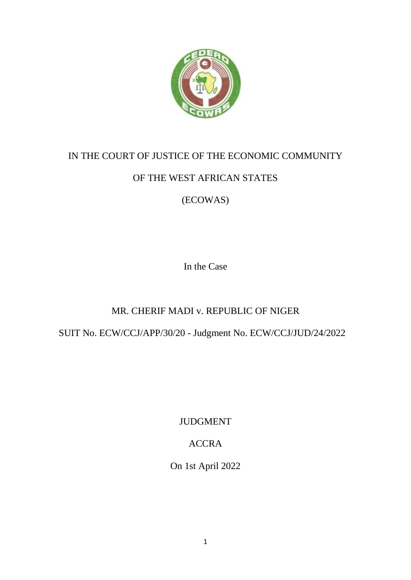

# IN THE COURT OF JUSTICE OF THE ECONOMIC COMMUNITY

# OF THE WEST AFRICAN STATES

(ECOWAS)

In the Case

# MR. CHERIF MADI v. REPUBLIC OF NIGER

SUIT No. ECW/CCJ/APP/30/20 - Judgment No. ECW/CCJ/JUD/24/2022

JUDGMENT

# ACCRA

On 1st April 2022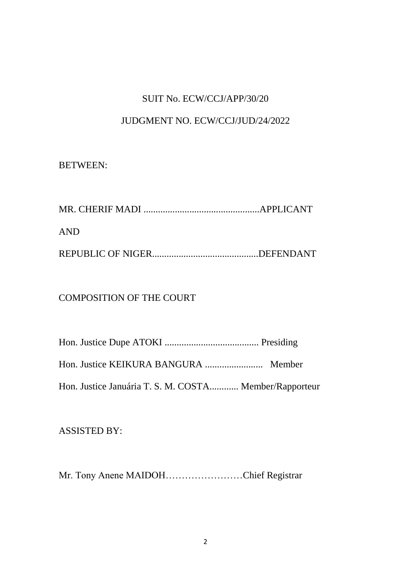### SUIT No. ECW/CCJ/APP/30/20

### JUDGMENT NO. ECW/CCJ/JUD/24/2022

#### BETWEEN:

| <b>AND</b> |  |
|------------|--|
|            |  |

### COMPOSITION OF THE COURT

| Hon. Justice Januária T. S. M. COSTA Member/Rapporteur |  |
|--------------------------------------------------------|--|

### ASSISTED BY:

Mr. Tony Anene MAIDOH……………………Chief Registrar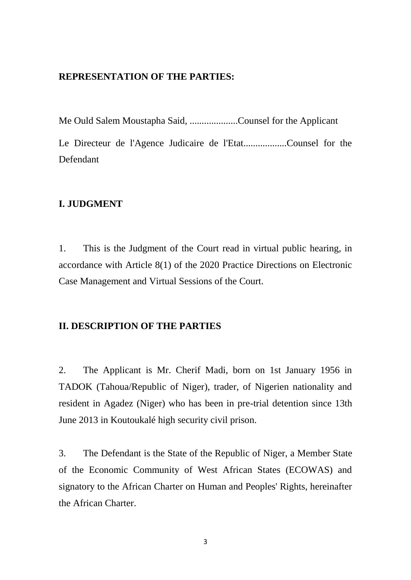#### **REPRESENTATION OF THE PARTIES:**

Me Ould Salem Moustapha Said, ....................Counsel for the Applicant

Le Directeur de l'Agence Judicaire de l'Etat..................Counsel for the Defendant

#### **I. JUDGMENT**

1. This is the Judgment of the Court read in virtual public hearing, in accordance with Article 8(1) of the 2020 Practice Directions on Electronic Case Management and Virtual Sessions of the Court.

#### **II. DESCRIPTION OF THE PARTIES**

2. The Applicant is Mr. Cherif Madi, born on 1st January 1956 in TADOK (Tahoua/Republic of Niger), trader, of Nigerien nationality and resident in Agadez (Niger) who has been in pre-trial detention since 13th June 2013 in Koutoukalé high security civil prison.

3. The Defendant is the State of the Republic of Niger, a Member State of the Economic Community of West African States (ECOWAS) and signatory to the African Charter on Human and Peoples' Rights, hereinafter the African Charter.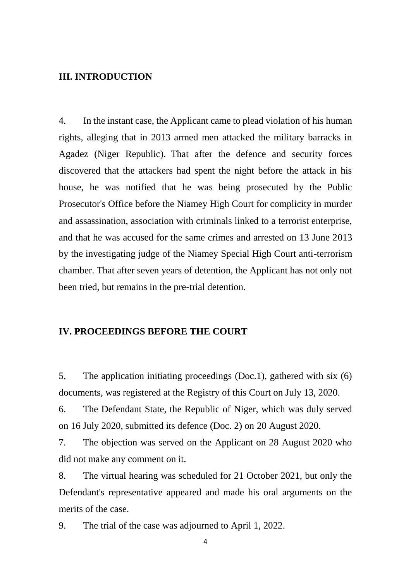#### **III. INTRODUCTION**

4. In the instant case, the Applicant came to plead violation of his human rights, alleging that in 2013 armed men attacked the military barracks in Agadez (Niger Republic). That after the defence and security forces discovered that the attackers had spent the night before the attack in his house, he was notified that he was being prosecuted by the Public Prosecutor's Office before the Niamey High Court for complicity in murder and assassination, association with criminals linked to a terrorist enterprise, and that he was accused for the same crimes and arrested on 13 June 2013 by the investigating judge of the Niamey Special High Court anti-terrorism chamber. That after seven years of detention, the Applicant has not only not been tried, but remains in the pre-trial detention.

#### **IV. PROCEEDINGS BEFORE THE COURT**

5. The application initiating proceedings (Doc.1), gathered with six (6) documents, was registered at the Registry of this Court on July 13, 2020.

6. The Defendant State, the Republic of Niger, which was duly served on 16 July 2020, submitted its defence (Doc. 2) on 20 August 2020.

7. The objection was served on the Applicant on 28 August 2020 who did not make any comment on it.

8. The virtual hearing was scheduled for 21 October 2021, but only the Defendant's representative appeared and made his oral arguments on the merits of the case.

9. The trial of the case was adjourned to April 1, 2022.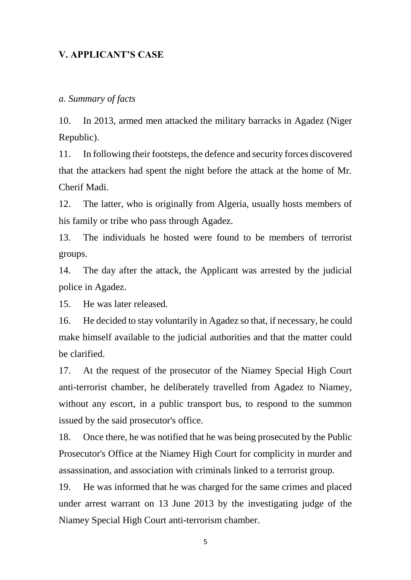### **V. APPLICANT'S CASE**

#### *a. Summary of facts*

10. In 2013, armed men attacked the military barracks in Agadez (Niger Republic).

11. In following their footsteps, the defence and security forces discovered that the attackers had spent the night before the attack at the home of Mr. Cherif Madi.

12. The latter, who is originally from Algeria, usually hosts members of his family or tribe who pass through Agadez.

13. The individuals he hosted were found to be members of terrorist groups.

14. The day after the attack, the Applicant was arrested by the judicial police in Agadez.

15. He was later released.

16. He decided to stay voluntarily in Agadez so that, if necessary, he could make himself available to the judicial authorities and that the matter could be clarified.

17. At the request of the prosecutor of the Niamey Special High Court anti-terrorist chamber, he deliberately travelled from Agadez to Niamey, without any escort, in a public transport bus, to respond to the summon issued by the said prosecutor's office.

18. Once there, he was notified that he was being prosecuted by the Public Prosecutor's Office at the Niamey High Court for complicity in murder and assassination, and association with criminals linked to a terrorist group.

19. He was informed that he was charged for the same crimes and placed under arrest warrant on 13 June 2013 by the investigating judge of the Niamey Special High Court anti-terrorism chamber.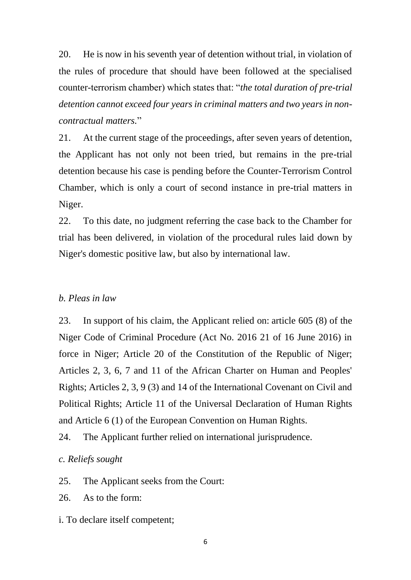20. He is now in his seventh year of detention without trial, in violation of the rules of procedure that should have been followed at the specialised counter-terrorism chamber) which states that: "*the total duration of pre-trial detention cannot exceed four years in criminal matters and two years in noncontractual matters.*"

21. At the current stage of the proceedings, after seven years of detention, the Applicant has not only not been tried, but remains in the pre-trial detention because his case is pending before the Counter-Terrorism Control Chamber, which is only a court of second instance in pre-trial matters in Niger.

22. To this date, no judgment referring the case back to the Chamber for trial has been delivered, in violation of the procedural rules laid down by Niger's domestic positive law, but also by international law.

#### *b. Pleas in law*

23. In support of his claim, the Applicant relied on: article 605 (8) of the Niger Code of Criminal Procedure (Act No. 2016 21 of 16 June 2016) in force in Niger; Article 20 of the Constitution of the Republic of Niger; Articles 2, 3, 6, 7 and 11 of the African Charter on Human and Peoples' Rights; Articles 2, 3, 9 (3) and 14 of the International Covenant on Civil and Political Rights; Article 11 of the Universal Declaration of Human Rights and Article 6 (1) of the European Convention on Human Rights.

24. The Applicant further relied on international jurisprudence.

#### *c. Reliefs sought*

25. The Applicant seeks from the Court:

26. As to the form:

i. To declare itself competent;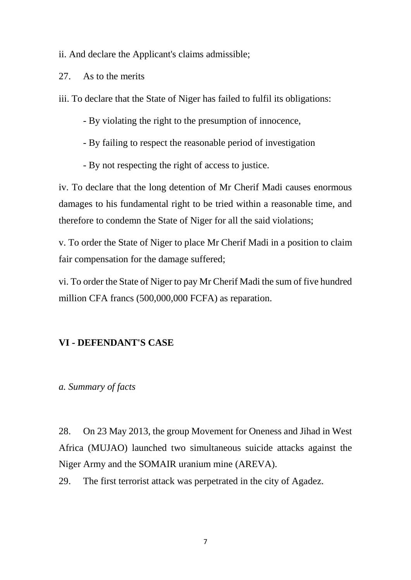ii. And declare the Applicant's claims admissible;

27. As to the merits

iii. To declare that the State of Niger has failed to fulfil its obligations:

- By violating the right to the presumption of innocence,

- By failing to respect the reasonable period of investigation

- By not respecting the right of access to justice.

iv. To declare that the long detention of Mr Cherif Madi causes enormous damages to his fundamental right to be tried within a reasonable time, and therefore to condemn the State of Niger for all the said violations;

v. To order the State of Niger to place Mr Cherif Madi in a position to claim fair compensation for the damage suffered;

vi. To order the State of Niger to pay Mr Cherif Madi the sum of five hundred million CFA francs (500,000,000 FCFA) as reparation.

# **VI - DEFENDANT'S CASE**

#### *a. Summary of facts*

28. On 23 May 2013, the group Movement for Oneness and Jihad in West Africa (MUJAO) launched two simultaneous suicide attacks against the Niger Army and the SOMAIR uranium mine (AREVA).

29. The first terrorist attack was perpetrated in the city of Agadez.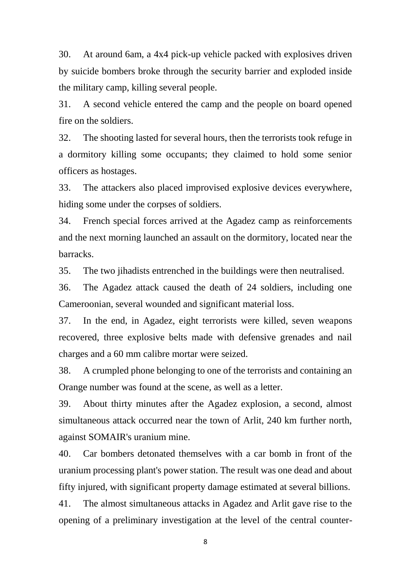30. At around 6am, a 4x4 pick-up vehicle packed with explosives driven by suicide bombers broke through the security barrier and exploded inside the military camp, killing several people.

31. A second vehicle entered the camp and the people on board opened fire on the soldiers.

32. The shooting lasted for several hours, then the terrorists took refuge in a dormitory killing some occupants; they claimed to hold some senior officers as hostages.

33. The attackers also placed improvised explosive devices everywhere, hiding some under the corpses of soldiers.

34. French special forces arrived at the Agadez camp as reinforcements and the next morning launched an assault on the dormitory, located near the barracks.

35. The two jihadists entrenched in the buildings were then neutralised.

36. The Agadez attack caused the death of 24 soldiers, including one Cameroonian, several wounded and significant material loss.

37. In the end, in Agadez, eight terrorists were killed, seven weapons recovered, three explosive belts made with defensive grenades and nail charges and a 60 mm calibre mortar were seized.

38. A crumpled phone belonging to one of the terrorists and containing an Orange number was found at the scene, as well as a letter.

39. About thirty minutes after the Agadez explosion, a second, almost simultaneous attack occurred near the town of Arlit, 240 km further north, against SOMAIR's uranium mine.

40. Car bombers detonated themselves with a car bomb in front of the uranium processing plant's power station. The result was one dead and about fifty injured, with significant property damage estimated at several billions.

41. The almost simultaneous attacks in Agadez and Arlit gave rise to the opening of a preliminary investigation at the level of the central counter-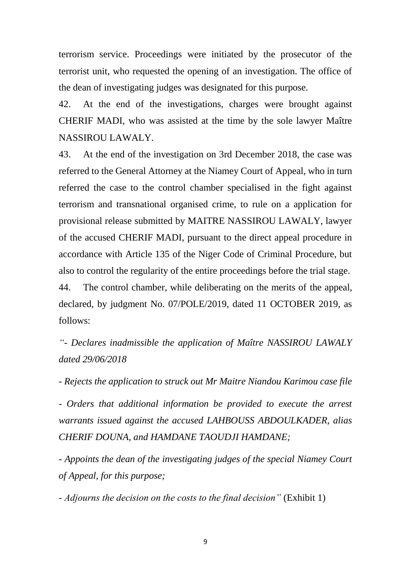terrorism service. Proceedings were initiated by the prosecutor of the terrorist unit, who requested the opening of an investigation. The office of the dean of investigating judges was designated for this purpose.

42. At the end of the investigations, charges were brought against CHERIF MADI, who was assisted at the time by the sole lawyer Maître NASSIROU LAWALY.

43. At the end of the investigation on 3rd December 2018, the case was referred to the General Attorney at the Niamey Court of Appeal, who in turn referred the case to the control chamber specialised in the fight against terrorism and transnational organised crime, to rule on a application for provisional release submitted by MAITRE NASSIROU LAWALY, lawyer of the accused CHERIF MADI, pursuant to the direct appeal procedure in accordance with Article 135 of the Niger Code of Criminal Procedure, but also to control the regularity of the entire proceedings before the trial stage. 44. The control chamber, while deliberating on the merits of the appeal, declared, by judgment No. 07/POLE/2019, dated 11 OCTOBER 2019, as

follows:

*"- Declares inadmissible the application of Maître NASSIROU LAWALY dated 29/06/2018*

*- Rejects the application to struck out Mr Maitre Niandou Karimou case file*

*- Orders that additional information be provided to execute the arrest warrants issued against the accused LAHBOUSS ABDOULKADER, alias CHERIF DOUNA, and HAMDANE TAOUDJI HAMDANE;* 

*- Appoints the dean of the investigating judges of the special Niamey Court of Appeal, for this purpose;* 

- *Adjourns the decision on the costs to the final decision"* (Exhibit 1)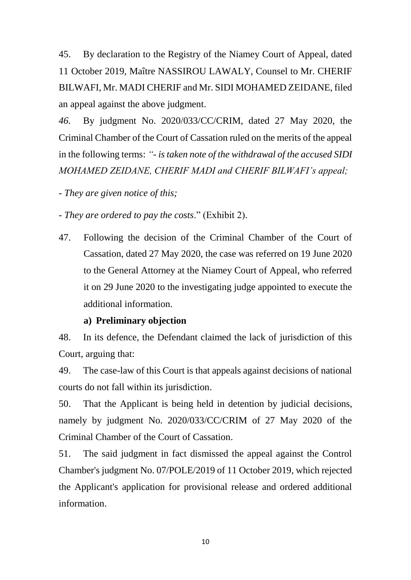45. By declaration to the Registry of the Niamey Court of Appeal, dated 11 October 2019, Maître NASSIROU LAWALY, Counsel to Mr. CHERIF BILWAFI, Mr. MADI CHERIF and Mr. SIDI MOHAMED ZEIDANE, filed an appeal against the above judgment.

*46.* By judgment No. 2020/033/CC/CRIM, dated 27 May 2020, the Criminal Chamber of the Court of Cassation ruled on the merits of the appeal in the following terms: *"- is taken note of the withdrawal of the accused SIDI MOHAMED ZEIDANE, CHERIF MADI and CHERIF BILWAFI's appeal;*

*- They are given notice of this;*

- *They are ordered to pay the costs*." (Exhibit 2).

47. Following the decision of the Criminal Chamber of the Court of Cassation, dated 27 May 2020, the case was referred on 19 June 2020 to the General Attorney at the Niamey Court of Appeal, who referred it on 29 June 2020 to the investigating judge appointed to execute the additional information.

#### **a) Preliminary objection**

48. In its defence, the Defendant claimed the lack of jurisdiction of this Court, arguing that:

49. The case-law of this Court is that appeals against decisions of national courts do not fall within its jurisdiction.

50. That the Applicant is being held in detention by judicial decisions, namely by judgment No. 2020/033/CC/CRIM of 27 May 2020 of the Criminal Chamber of the Court of Cassation.

51. The said judgment in fact dismissed the appeal against the Control Chamber's judgment No. 07/POLE/2019 of 11 October 2019, which rejected the Applicant's application for provisional release and ordered additional information.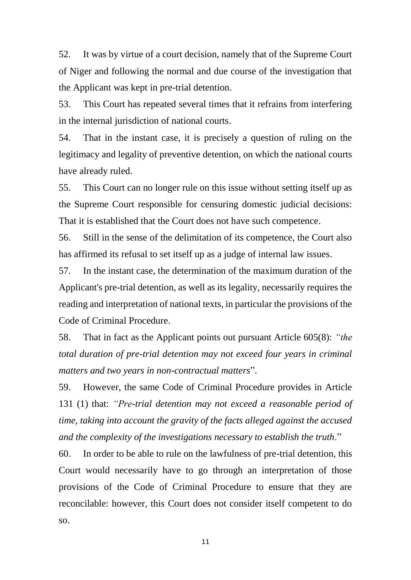52. It was by virtue of a court decision, namely that of the Supreme Court of Niger and following the normal and due course of the investigation that the Applicant was kept in pre-trial detention.

53. This Court has repeated several times that it refrains from interfering in the internal jurisdiction of national courts.

54. That in the instant case, it is precisely a question of ruling on the legitimacy and legality of preventive detention, on which the national courts have already ruled.

55. This Court can no longer rule on this issue without setting itself up as the Supreme Court responsible for censuring domestic judicial decisions: That it is established that the Court does not have such competence.

56. Still in the sense of the delimitation of its competence, the Court also has affirmed its refusal to set itself up as a judge of internal law issues.

57. In the instant case, the determination of the maximum duration of the Applicant's pre-trial detention, as well as its legality, necessarily requires the reading and interpretation of national texts, in particular the provisions of the Code of Criminal Procedure.

58. That in fact as the Applicant points out pursuant Article 605(8): *"the total duration of pre-trial detention may not exceed four years in criminal matters and two years in non-contractual matters*".

59. However, the same Code of Criminal Procedure provides in Article 131 (1) that: *"Pre-trial detention may not exceed a reasonable period of time, taking into account the gravity of the facts alleged against the accused and the complexity of the investigations necessary to establish the truth*."

60. In order to be able to rule on the lawfulness of pre-trial detention, this Court would necessarily have to go through an interpretation of those provisions of the Code of Criminal Procedure to ensure that they are reconcilable: however, this Court does not consider itself competent to do so.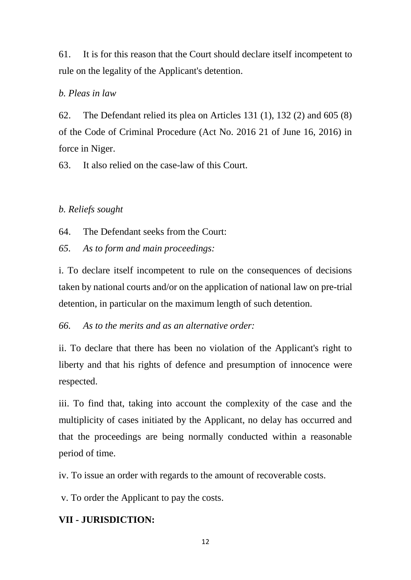61. It is for this reason that the Court should declare itself incompetent to rule on the legality of the Applicant's detention.

#### *b. Pleas in law*

62. The Defendant relied its plea on Articles 131 (1), 132 (2) and 605 (8) of the Code of Criminal Procedure (Act No. 2016 21 of June 16, 2016) in force in Niger.

63. It also relied on the case-law of this Court.

#### *b. Reliefs sought*

64. The Defendant seeks from the Court:

*65. As to form and main proceedings:*

i. To declare itself incompetent to rule on the consequences of decisions taken by national courts and/or on the application of national law on pre-trial detention, in particular on the maximum length of such detention.

*66. As to the merits and as an alternative order:* 

ii. To declare that there has been no violation of the Applicant's right to liberty and that his rights of defence and presumption of innocence were respected.

iii. To find that, taking into account the complexity of the case and the multiplicity of cases initiated by the Applicant, no delay has occurred and that the proceedings are being normally conducted within a reasonable period of time.

iv. To issue an order with regards to the amount of recoverable costs.

v. To order the Applicant to pay the costs.

### **VII - JURISDICTION:**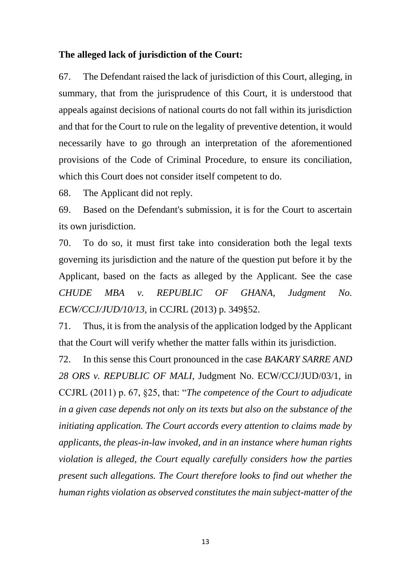#### **The alleged lack of jurisdiction of the Court:**

67. The Defendant raised the lack of jurisdiction of this Court, alleging, in summary, that from the jurisprudence of this Court, it is understood that appeals against decisions of national courts do not fall within its jurisdiction and that for the Court to rule on the legality of preventive detention, it would necessarily have to go through an interpretation of the aforementioned provisions of the Code of Criminal Procedure, to ensure its conciliation, which this Court does not consider itself competent to do.

68. The Applicant did not reply.

69. Based on the Defendant's submission, it is for the Court to ascertain its own jurisdiction.

70. To do so, it must first take into consideration both the legal texts governing its jurisdiction and the nature of the question put before it by the Applicant, based on the facts as alleged by the Applicant. See the case *CHUDE MBA v. REPUBLIC OF GHANA, Judgment No. ECW/CCJ/JUD/10/13,* in CCJRL (2013) p. 349§52.

71. Thus, it is from the analysis of the application lodged by the Applicant that the Court will verify whether the matter falls within its jurisdiction.

72. In this sense this Court pronounced in the case *BAKARY SARRE AND 28 ORS v. REPUBLIC OF MALI,* Judgment No. ECW/CCJ/JUD/03/1, in CCJRL (2011) p. 67, §25, that: "*The competence of the Court to adjudicate in a given case depends not only on its texts but also on the substance of the initiating application. The Court accords every attention to claims made by applicants, the pleas-in-law invoked, and in an instance where human rights violation is alleged, the Court equally carefully considers how the parties present such allegations. The Court therefore looks to find out whether the human rights violation as observed constitutes the main subject-matter of the*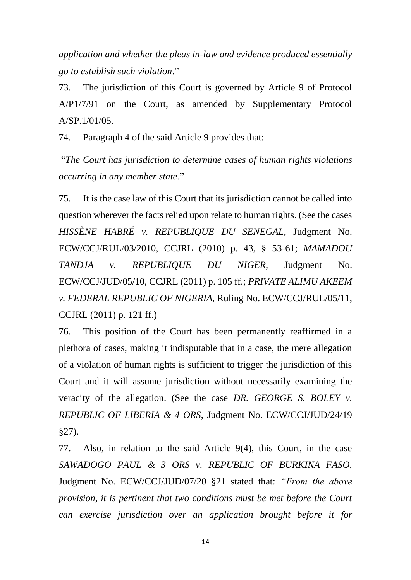*application and whether the pleas in-law and evidence produced essentially go to establish such violation*."

73. The jurisdiction of this Court is governed by Article 9 of Protocol A/P1/7/91 on the Court, as amended by Supplementary Protocol A/SP.1/01/05.

74. Paragraph 4 of the said Article 9 provides that:

"*The Court has jurisdiction to determine cases of human rights violations occurring in any member state*."

75. It is the case law of this Court that its jurisdiction cannot be called into question wherever the facts relied upon relate to human rights. (See the cases *HISSÈNE HABRÉ v. REPUBLIQUE DU SENEGAL*, Judgment No. ECW/CCJ/RUL/03/2010, CCJRL (2010) p. 43, § 53-61; *MAMADOU TANDJA v. REPUBLIQUE DU NIGER,* Judgment No. ECW/CCJ/JUD/05/10, CCJRL (2011) p. 105 ff.; *PRIVATE ALIMU AKEEM v. FEDERAL REPUBLIC OF NIGERIA*, Ruling No. ECW/CCJ/RUL/05/11, CCJRL (2011) p. 121 ff.)

76. This position of the Court has been permanently reaffirmed in a plethora of cases, making it indisputable that in a case, the mere allegation of a violation of human rights is sufficient to trigger the jurisdiction of this Court and it will assume jurisdiction without necessarily examining the veracity of the allegation. (See the case *DR. GEORGE S. BOLEY v. REPUBLIC OF LIBERIA & 4 ORS*, Judgment No. ECW/CCJ/JUD/24/19 §27).

77. Also, in relation to the said Article 9(4), this Court, in the case *SAWADOGO PAUL & 3 ORS v. REPUBLIC OF BURKINA FASO,* Judgment No. ECW/CCJ/JUD/07/20 §21 stated that: *"From the above provision, it is pertinent that two conditions must be met before the Court can exercise jurisdiction over an application brought before it for*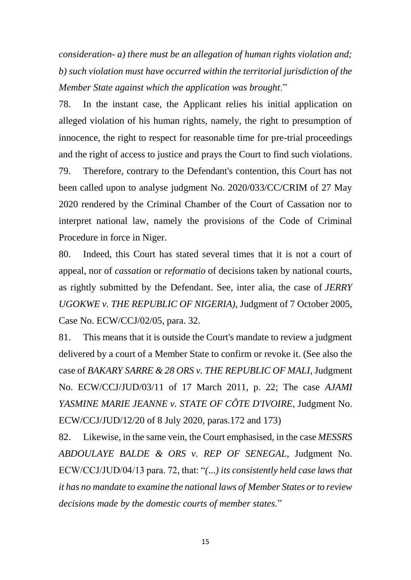*consideration- a) there must be an allegation of human rights violation and; b) such violation must have occurred within the territorial jurisdiction of the Member State against which the application was brought*."

78. In the instant case, the Applicant relies his initial application on alleged violation of his human rights, namely, the right to presumption of innocence, the right to respect for reasonable time for pre-trial proceedings and the right of access to justice and prays the Court to find such violations. 79. Therefore, contrary to the Defendant's contention, this Court has not been called upon to analyse judgment No. 2020/033/CC/CRIM of 27 May 2020 rendered by the Criminal Chamber of the Court of Cassation nor to interpret national law, namely the provisions of the Code of Criminal Procedure in force in Niger.

80. Indeed, this Court has stated several times that it is not a court of appeal, nor of *cassation* or *reformatio* of decisions taken by national courts, as rightly submitted by the Defendant. See, inter alia, the case of *JERRY UGOKWE v. THE REPUBLIC OF NIGERIA)*, Judgment of 7 October 2005, Case No. ECW/CCJ/02/05, para. 32.

81. This means that it is outside the Court's mandate to review a judgment delivered by a court of a Member State to confirm or revoke it. (See also the case of *BAKARY SARRE & 28 ORS v. THE REPUBLIC OF MALI*, Judgment No. ECW/CCJ/JUD/03/11 of 17 March 2011, p. 22; The case *AJAMI YASMINE MARIE JEANNE v. STATE OF CÔTE D'IVOIRE*, Judgment No. ECW/CCJ/JUD/12/20 of 8 July 2020, paras.172 and 173)

82. Likewise, in the same vein, the Court emphasised, in the case *MESSRS ABDOULAYE BALDE & ORS v. REP OF SENEGAL*, Judgment No. ECW/CCJ/JUD/04/13 para. 72, that: "*(*...*) its consistently held case laws that it has no mandate to examine the national laws of Member States or to review decisions made by the domestic courts of member states.*"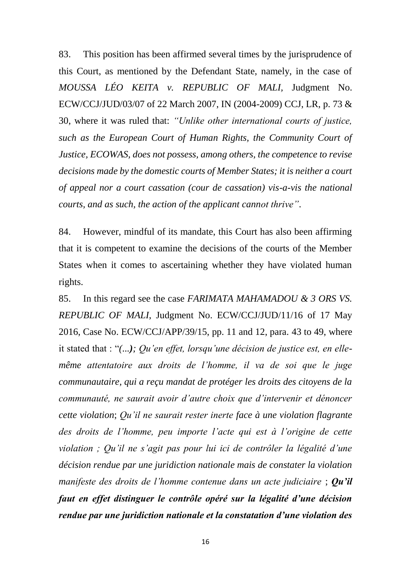83. This position has been affirmed several times by the jurisprudence of this Court, as mentioned by the Defendant State, namely, in the case of *MOUSSA LÉO KEITA v. REPUBLIC OF MALI,* Judgment No. ECW/CCJ/JUD/03/07 of 22 March 2007, IN (2004-2009) CCJ, LR, p. 73 & 30, where it was ruled that: *"Unlike other international courts of justice, such as the European Court of Human Rights, the Community Court of Justice, ECOWAS, does not possess, among others, the competence to revise decisions made by the domestic courts of Member States; it is neither a court of appeal nor a court cassation (cour de cassation) vis-a-vis the national courts, and as such, the action of the applicant cannot thrive"*.

84. However, mindful of its mandate, this Court has also been affirming that it is competent to examine the decisions of the courts of the Member States when it comes to ascertaining whether they have violated human rights.

85. In this regard see the case *FARIMATA MAHAMADOU & 3 ORS VS. REPUBLIC OF MALI*, Judgment No. ECW/CCJ/JUD/11/16 of 17 May 2016, Case No. ECW/CCJ/APP/39/15, pp. 11 and 12, para. 43 to 49, where it stated that : "*(...); Qu'en effet, lorsqu'une décision de justice est, en ellemême attentatoire aux droits de l'homme, il va de soi que le juge communautaire, qui a reçu mandat de protéger les droits des citoyens de la communauté, ne saurait avoir d'autre choix que d'intervenir et dénoncer cette violation*; *Qu'il ne saurait rester inerte face à une violation flagrante des droits de l'homme, peu importe l'acte qui est à l'origine de cette violation ; Qu'il ne s'agit pas pour lui ici de contrôler la légalité d'une décision rendue par une juridiction nationale mais de constater la violation manifeste des droits de l'homme contenue dans un acte judiciaire* ; *Qu'il faut en effet distinguer le contrôle opéré sur la légalité d'une décision rendue par une juridiction nationale et la constatation d'une violation des*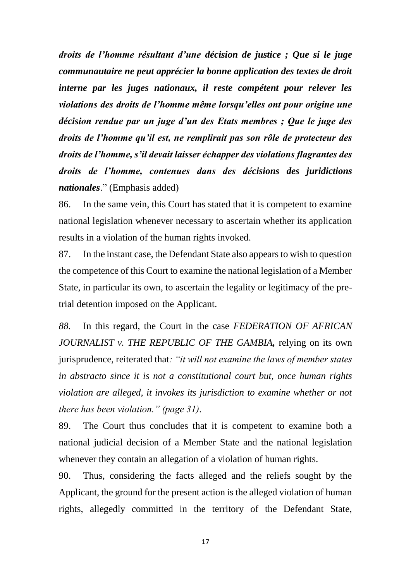*droits de l'homme résultant d'une décision de justice ; Que si le juge communautaire ne peut apprécier la bonne application des textes de droit interne par les juges nationaux, il reste compétent pour relever les violations des droits de l'homme même lorsqu'elles ont pour origine une décision rendue par un juge d'un des Etats membres ; Que le juge des droits de l'homme qu'il est, ne remplirait pas son rôle de protecteur des droits de l'homme, s'il devait laisser échapper des violations flagrantes des droits de l'homme, contenues dans des décisions des juridictions nationales*." (Emphasis added)

86. In the same vein, this Court has stated that it is competent to examine national legislation whenever necessary to ascertain whether its application results in a violation of the human rights invoked.

87. In the instant case, the Defendant State also appears to wish to question the competence of this Court to examine the national legislation of a Member State, in particular its own, to ascertain the legality or legitimacy of the pretrial detention imposed on the Applicant.

*88.* In this regard, the Court in the case *FEDERATION OF AFRICAN JOURNALIST v. THE REPUBLIC OF THE GAMBIA,* relying on its own jurisprudence, reiterated that*: "it will not examine the laws of member states in abstracto since it is not a constitutional court but, once human rights violation are alleged, it invokes its jurisdiction to examine whether or not there has been violation." (page 31).*

89. The Court thus concludes that it is competent to examine both a national judicial decision of a Member State and the national legislation whenever they contain an allegation of a violation of human rights.

90. Thus, considering the facts alleged and the reliefs sought by the Applicant, the ground for the present action is the alleged violation of human rights, allegedly committed in the territory of the Defendant State,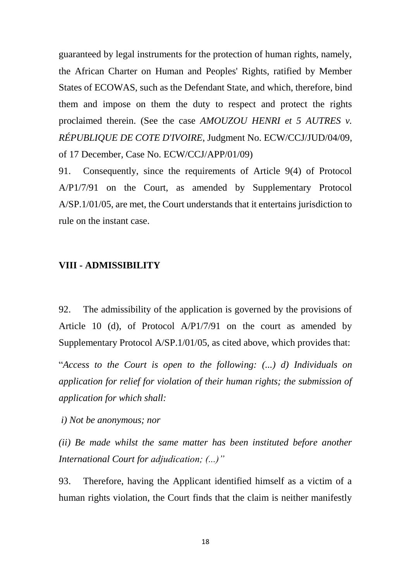guaranteed by legal instruments for the protection of human rights, namely, the African Charter on Human and Peoples' Rights, ratified by Member States of ECOWAS, such as the Defendant State, and which, therefore, bind them and impose on them the duty to respect and protect the rights proclaimed therein. (See the case *AMOUZOU HENRI et 5 AUTRES v. RÉPUBLIQUE DE COTE D'IVOIRE*, Judgment No. ECW/CCJ/JUD/04/09, of 17 December, Case No. ECW/CCJ/APP/01/09)

91. Consequently, since the requirements of Article 9(4) of Protocol A/P1/7/91 on the Court, as amended by Supplementary Protocol A/SP.1/01/05, are met, the Court understands that it entertains jurisdiction to rule on the instant case.

#### **VIII - ADMISSIBILITY**

92. The admissibility of the application is governed by the provisions of Article 10 (d), of Protocol A/P1/7/91 on the court as amended by Supplementary Protocol A/SP.1/01/05, as cited above, which provides that:

"*Access to the Court is open to the following: (...) d) Individuals on application for relief for violation of their human rights; the submission of application for which shall:*

*i) Not be anonymous; nor*

*(ii) Be made whilst the same matter has been instituted before another International Court for adjudication; (...)"*

93. Therefore, having the Applicant identified himself as a victim of a human rights violation, the Court finds that the claim is neither manifestly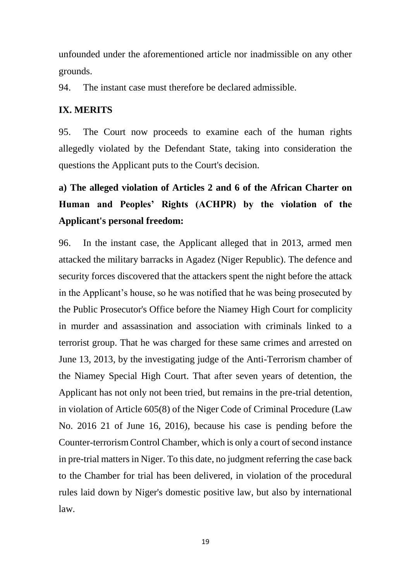unfounded under the aforementioned article nor inadmissible on any other grounds.

94. The instant case must therefore be declared admissible.

### **IX. MERITS**

95. The Court now proceeds to examine each of the human rights allegedly violated by the Defendant State, taking into consideration the questions the Applicant puts to the Court's decision.

# **a) The alleged violation of Articles 2 and 6 of the African Charter on Human and Peoples' Rights (ACHPR) by the violation of the Applicant's personal freedom:**

96. In the instant case, the Applicant alleged that in 2013, armed men attacked the military barracks in Agadez (Niger Republic). The defence and security forces discovered that the attackers spent the night before the attack in the Applicant's house, so he was notified that he was being prosecuted by the Public Prosecutor's Office before the Niamey High Court for complicity in murder and assassination and association with criminals linked to a terrorist group. That he was charged for these same crimes and arrested on June 13, 2013, by the investigating judge of the Anti-Terrorism chamber of the Niamey Special High Court. That after seven years of detention, the Applicant has not only not been tried, but remains in the pre-trial detention, in violation of Article 605(8) of the Niger Code of Criminal Procedure (Law No. 2016 21 of June 16, 2016), because his case is pending before the Counter-terrorism Control Chamber, which is only a court of second instance in pre-trial matters in Niger. To this date, no judgment referring the case back to the Chamber for trial has been delivered, in violation of the procedural rules laid down by Niger's domestic positive law, but also by international law.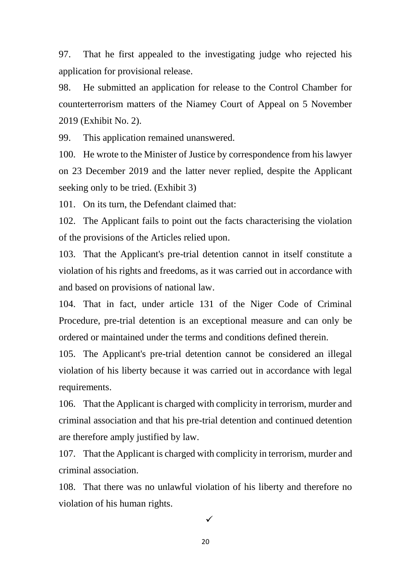97. That he first appealed to the investigating judge who rejected his application for provisional release.

98. He submitted an application for release to the Control Chamber for counterterrorism matters of the Niamey Court of Appeal on 5 November 2019 (Exhibit No. 2).

99. This application remained unanswered.

100. He wrote to the Minister of Justice by correspondence from his lawyer on 23 December 2019 and the latter never replied, despite the Applicant seeking only to be tried. (Exhibit 3)

101. On its turn, the Defendant claimed that:

102. The Applicant fails to point out the facts characterising the violation of the provisions of the Articles relied upon.

103. That the Applicant's pre-trial detention cannot in itself constitute a violation of his rights and freedoms, as it was carried out in accordance with and based on provisions of national law.

104. That in fact, under article 131 of the Niger Code of Criminal Procedure, pre-trial detention is an exceptional measure and can only be ordered or maintained under the terms and conditions defined therein.

105. The Applicant's pre-trial detention cannot be considered an illegal violation of his liberty because it was carried out in accordance with legal requirements.

106. That the Applicant is charged with complicity in terrorism, murder and criminal association and that his pre-trial detention and continued detention are therefore amply justified by law.

107. That the Applicant is charged with complicity in terrorism, murder and criminal association.

108. That there was no unlawful violation of his liberty and therefore no violation of his human rights.

 $\checkmark$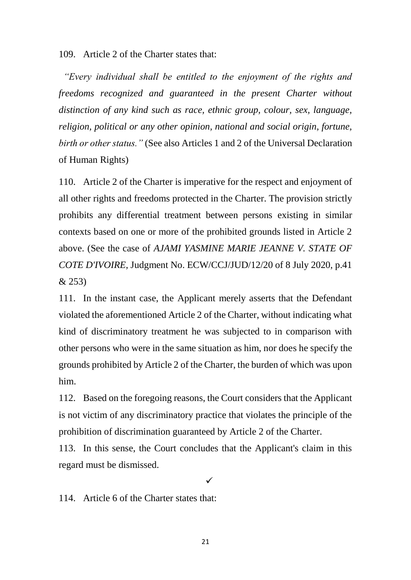109. Article 2 of the Charter states that:

 *"Every individual shall be entitled to the enjoyment of the rights and freedoms recognized and guaranteed in the present Charter without distinction of any kind such as race, ethnic group, colour, sex, language, religion, political or any other opinion, national and social origin, fortune, birth or other status."* (See also Articles 1 and 2 of the Universal Declaration of Human Rights)

110. Article 2 of the Charter is imperative for the respect and enjoyment of all other rights and freedoms protected in the Charter. The provision strictly prohibits any differential treatment between persons existing in similar contexts based on one or more of the prohibited grounds listed in Article 2 above. (See the case of *AJAMI YASMINE MARIE JEANNE V. STATE OF COTE D'IVOIRE*, Judgment No. ECW/CCJ/JUD/12/20 of 8 July 2020, p.41 & 253)

111. In the instant case, the Applicant merely asserts that the Defendant violated the aforementioned Article 2 of the Charter, without indicating what kind of discriminatory treatment he was subjected to in comparison with other persons who were in the same situation as him, nor does he specify the grounds prohibited by Article 2 of the Charter, the burden of which was upon him.

112. Based on the foregoing reasons, the Court considers that the Applicant is not victim of any discriminatory practice that violates the principle of the prohibition of discrimination guaranteed by Article 2 of the Charter.

113. In this sense, the Court concludes that the Applicant's claim in this regard must be dismissed.

 $\checkmark$ 

114. Article 6 of the Charter states that: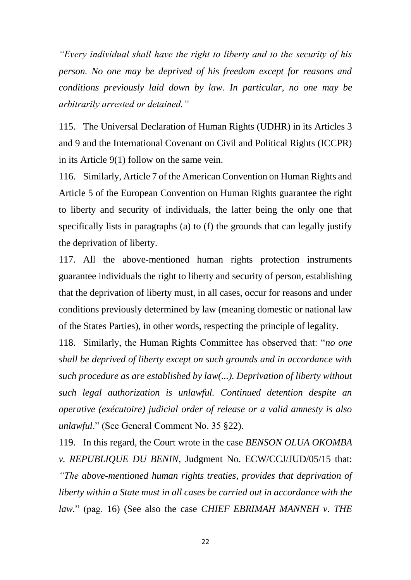*"Every individual shall have the right to liberty and to the security of his person. No one may be deprived of his freedom except for reasons and conditions previously laid down by law. In particular, no one may be arbitrarily arrested or detained."*

115. The Universal Declaration of Human Rights (UDHR) in its Articles 3 and 9 and the International Covenant on Civil and Political Rights (ICCPR) in its Article 9(1) follow on the same vein.

116. Similarly, Article 7 of the American Convention on Human Rights and Article 5 of the European Convention on Human Rights guarantee the right to liberty and security of individuals, the latter being the only one that specifically lists in paragraphs (a) to (f) the grounds that can legally justify the deprivation of liberty.

117. All the above-mentioned human rights protection instruments guarantee individuals the right to liberty and security of person, establishing that the deprivation of liberty must, in all cases, occur for reasons and under conditions previously determined by law (meaning domestic or national law of the States Parties), in other words, respecting the principle of legality.

118. Similarly, the Human Rights Committee has observed that: "*no one shall be deprived of liberty except on such grounds and in accordance with such procedure as are established by law(...). Deprivation of liberty without such legal authorization is unlawful. Continued detention despite an operative (exécutoire) judicial order of release or a valid amnesty is also unlawful*." (See General Comment No. 35 §22).

119. In this regard, the Court wrote in the case *BENSON OLUA OKOMBA v. REPUBLIQUE DU BENIN*, Judgment No. ECW/CCJ/JUD/05/15 that: *"The above-mentioned human rights treaties, provides that deprivation of liberty within a State must in all cases be carried out in accordance with the law.*" (pag. 16) (See also the case *CHIEF EBRIMAH MANNEH v. THE*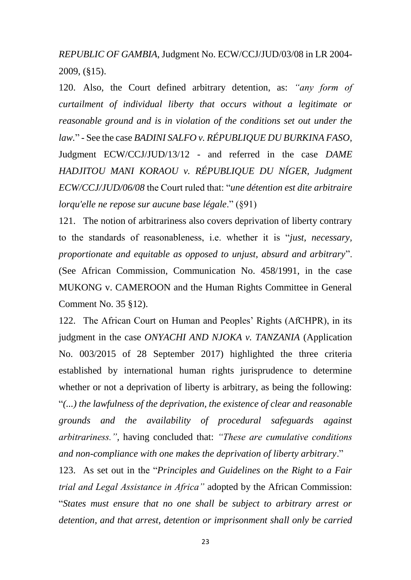*REPUBLIC OF GAMBIA*, Judgment No. ECW/CCJ/JUD/03/08 in LR 2004- 2009, (§15).

120. Also, the Court defined arbitrary detention, as: *"any form of curtailment of individual liberty that occurs without a legitimate or reasonable ground and is in violation of the conditions set out under the law.*" - See the case *BADINI SALFO v. RÉPUBLIQUE DU BURKINA FASO*, Judgment ECW/CCJ/JUD/13/12 - and referred in the case *DAME HADJITOU MANI KORAOU v. RÉPUBLIQUE DU NÍGER, Judgment ECW/CCJ/JUD/06/08* the Court ruled that: "*une détention est dite arbitraire lorqu'elle ne repose sur aucune base légale*." (§91)

121. The notion of arbitrariness also covers deprivation of liberty contrary to the standards of reasonableness, i.e. whether it is "*just, necessary, proportionate and equitable as opposed to unjust, absurd and arbitrary*". (See African Commission, Communication No. 458/1991, in the case MUKONG v. CAMEROON and the Human Rights Committee in General Comment No. 35 §12).

122. The African Court on Human and Peoples' Rights (AfCHPR), in its judgment in the case *ONYACHI AND NJOKA v. TANZANIA* (Application No. 003/2015 of 28 September 2017) highlighted the three criteria established by international human rights jurisprudence to determine whether or not a deprivation of liberty is arbitrary, as being the following: "*(...) the lawfulness of the deprivation, the existence of clear and reasonable grounds and the availability of procedural safeguards against arbitrariness.",* having concluded that: *"These are cumulative conditions and non-compliance with one makes the deprivation of liberty arbitrary*."

123. As set out in the "*Principles and Guidelines on the Right to a Fair trial and Legal Assistance in Africa"* adopted by the African Commission: "*States must ensure that no one shall be subject to arbitrary arrest or detention, and that arrest, detention or imprisonment shall only be carried*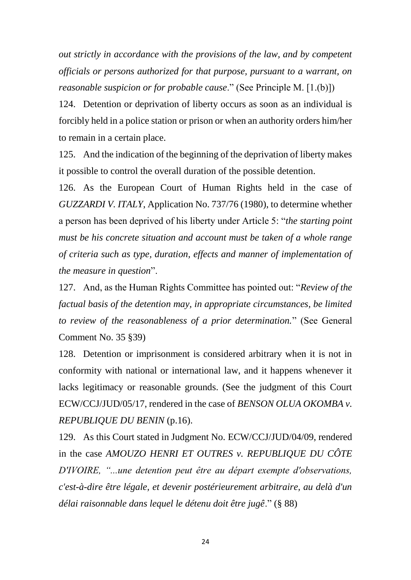*out strictly in accordance with the provisions of the law, and by competent officials or persons authorized for that purpose, pursuant to a warrant, on reasonable suspicion or for probable cause*." (See Principle M. [1.(b)])

124. Detention or deprivation of liberty occurs as soon as an individual is forcibly held in a police station or prison or when an authority orders him/her to remain in a certain place.

125. And the indication of the beginning of the deprivation of liberty makes it possible to control the overall duration of the possible detention.

126. As the European Court of Human Rights held in the case of *GUZZARDI V. ITALY*, Application No. 737/76 (1980), to determine whether a person has been deprived of his liberty under Article 5: "*the starting point must be his concrete situation and account must be taken of a whole range of criteria such as type, duration, effects and manner of implementation of the measure in question*".

127. And, as the Human Rights Committee has pointed out: "*Review of the factual basis of the detention may, in appropriate circumstances, be limited to review of the reasonableness of a prior determination.*" (See General Comment No. 35 §39)

128. Detention or imprisonment is considered arbitrary when it is not in conformity with national or international law, and it happens whenever it lacks legitimacy or reasonable grounds. (See the judgment of this Court ECW/CCJ/JUD/05/17, rendered in the case of *BENSON OLUA OKOMBA v. REPUBLIQUE DU BENIN* (p.16).

129. As this Court stated in Judgment No. ECW/CCJ/JUD/04/09, rendered in the case *AMOUZO HENRI ET OUTRES v. REPUBLIQUE DU CÔTE D'IVOIRE, "...une detention peut être au départ exempte d'observations, c'est-à-dire être légale, et devenir postérieurement arbitraire, au delà d'un délai raisonnable dans lequel le détenu doit être jugê*." (§ 88)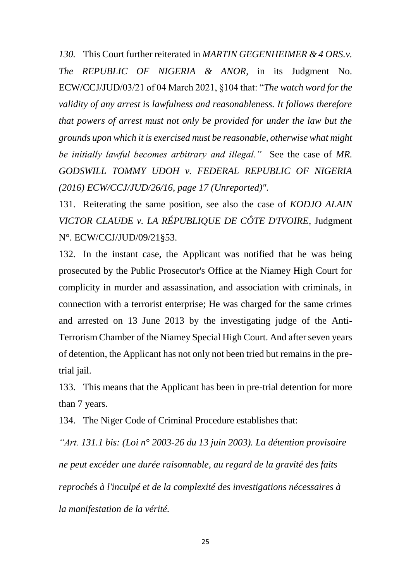*130.* This Court further reiterated in *MARTIN GEGENHEIMER & 4 ORS.v. The REPUBLIC OF NIGERIA & ANOR*, in its Judgment No. ECW/CCJ/JUD/03/21 of 04 March 2021, §104 that: "*The watch word for the validity of any arrest is lawfulness and reasonableness. It follows therefore that powers of arrest must not only be provided for under the law but the grounds upon which it is exercised must be reasonable, otherwise what might be initially lawful becomes arbitrary and illegal."* See the case of *MR. GODSWILL TOMMY UDOH v. FEDERAL REPUBLIC OF NIGERIA (2016) ECW/CCJ/JUD/26/16, page 17 (Unreported)".*

131. Reiterating the same position, see also the case of *KODJO ALAIN VICTOR CLAUDE v. LA RÉPUBLIQUE DE CÔTE D'IVOIRE*, Judgment N°. ECW/CCJ/JUD/09/21§53.

132. In the instant case, the Applicant was notified that he was being prosecuted by the Public Prosecutor's Office at the Niamey High Court for complicity in murder and assassination, and association with criminals, in connection with a terrorist enterprise; He was charged for the same crimes and arrested on 13 June 2013 by the investigating judge of the Anti-Terrorism Chamber of the Niamey Special High Court. And after seven years of detention, the Applicant has not only not been tried but remains in the pretrial jail.

133. This means that the Applicant has been in pre-trial detention for more than 7 years.

134. The Niger Code of Criminal Procedure establishes that:

*"Art. 131.1 bis: (Loi n° 2003-26 du 13 juin 2003). La détention provisoire ne peut excéder une durée raisonnable, au regard de la gravité des faits reprochés à l'inculpé et de la complexité des investigations nécessaires à la manifestation de la vérité.*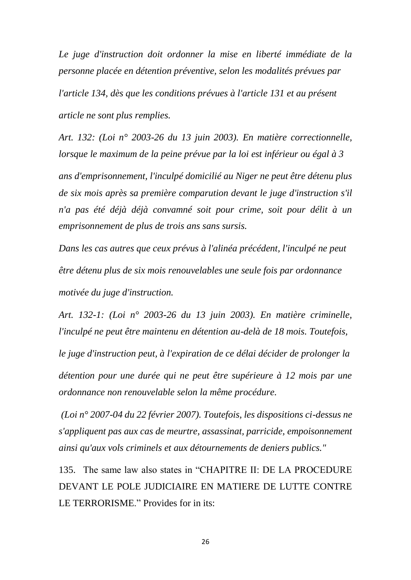*Le juge d'instruction doit ordonner la mise en liberté immédiate de la personne placée en détention préventive, selon les modalités prévues par l'article 134, dès que les conditions prévues à l'article 131 et au présent article ne sont plus remplies.*

*Art. 132: (Loi n° 2003-26 du 13 juin 2003). En matière correctionnelle, lorsque le maximum de la peine prévue par la loi est inférieur ou égal à 3*

*ans d'emprisonnement, l'inculpé domicilié au Niger ne peut être détenu plus de six mois après sa première comparution devant le juge d'instruction s'il n'a pas été déjà déjà convamné soit pour crime, soit pour délit à un emprisonnement de plus de trois ans sans sursis.*

*Dans les cas autres que ceux prévus à l'alinéa précédent, l'inculpé ne peut être détenu plus de six mois renouvelables une seule fois par ordonnance motivée du juge d'instruction.*

*Art. 132-1: (Loi n° 2003-26 du 13 juin 2003). En matière criminelle, l'inculpé ne peut être maintenu en détention au-delà de 18 mois. Toutefois, le juge d'instruction peut, à l'expiration de ce délai décider de prolonger la détention pour une durée qui ne peut être supérieure à 12 mois par une ordonnance non renouvelable selon la même procédure.*

*(Loi n° 2007-04 du 22 février 2007). Toutefois, les dispositions ci-dessus ne s'appliquent pas aux cas de meurtre, assassinat, parricide, empoisonnement ainsi qu'aux vols criminels et aux détournements de deniers publics."*

135. The same law also states in "CHAPITRE II: DE LA PROCEDURE DEVANT LE POLE JUDICIAIRE EN MATIERE DE LUTTE CONTRE LE TERRORISME." Provides for in its: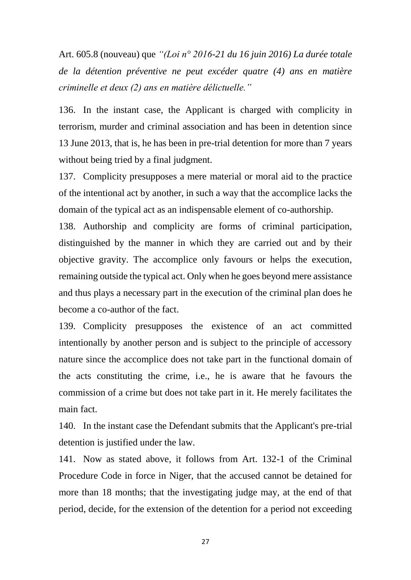Art. 605.8 (nouveau) que *"(Loi n° 2016-21 du 16 juin 2016) La durée totale de la détention préventive ne peut excéder quatre (4) ans en matière criminelle et deux (2) ans en matière délictuelle."*

136. In the instant case, the Applicant is charged with complicity in terrorism, murder and criminal association and has been in detention since 13 June 2013, that is, he has been in pre-trial detention for more than 7 years without being tried by a final judgment.

137. Complicity presupposes a mere material or moral aid to the practice of the intentional act by another, in such a way that the accomplice lacks the domain of the typical act as an indispensable element of co-authorship.

138. Authorship and complicity are forms of criminal participation, distinguished by the manner in which they are carried out and by their objective gravity. The accomplice only favours or helps the execution, remaining outside the typical act. Only when he goes beyond mere assistance and thus plays a necessary part in the execution of the criminal plan does he become a co-author of the fact.

139. Complicity presupposes the existence of an act committed intentionally by another person and is subject to the principle of accessory nature since the accomplice does not take part in the functional domain of the acts constituting the crime, i.e., he is aware that he favours the commission of a crime but does not take part in it. He merely facilitates the main fact.

140. In the instant case the Defendant submits that the Applicant's pre-trial detention is justified under the law.

141. Now as stated above, it follows from Art. 132-1 of the Criminal Procedure Code in force in Niger, that the accused cannot be detained for more than 18 months; that the investigating judge may, at the end of that period, decide, for the extension of the detention for a period not exceeding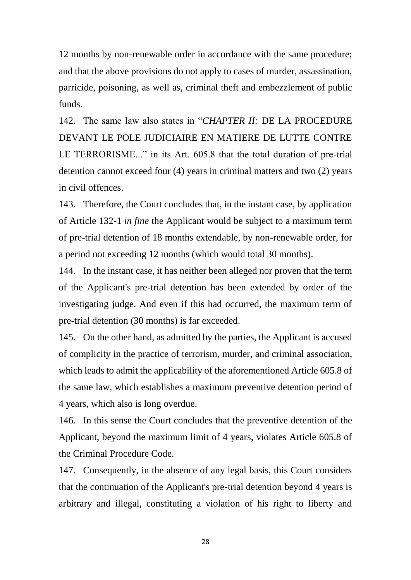12 months by non-renewable order in accordance with the same procedure; and that the above provisions do not apply to cases of murder, assassination, parricide, poisoning, as well as, criminal theft and embezzlement of public funds.

142. The same law also states in "*CHAPTER II:* DE LA PROCEDURE DEVANT LE POLE JUDICIAIRE EN MATIERE DE LUTTE CONTRE LE TERRORISME..." in its Art. 605.8 that the total duration of pre-trial detention cannot exceed four (4) years in criminal matters and two (2) years in civil offences.

143. Therefore, the Court concludes that, in the instant case, by application of Article 132-1 *in fine* the Applicant would be subject to a maximum term of pre-trial detention of 18 months extendable, by non-renewable order, for a period not exceeding 12 months (which would total 30 months).

144. In the instant case, it has neither been alleged nor proven that the term of the Applicant's pre-trial detention has been extended by order of the investigating judge. And even if this had occurred, the maximum term of pre-trial detention (30 months) is far exceeded.

145. On the other hand, as admitted by the parties, the Applicant is accused of complicity in the practice of terrorism, murder, and criminal association, which leads to admit the applicability of the aforementioned Article 605.8 of the same law, which establishes a maximum preventive detention period of 4 years, which also is long overdue.

146. In this sense the Court concludes that the preventive detention of the Applicant, beyond the maximum limit of 4 years, violates Article 605.8 of the Criminal Procedure Code.

147. Consequently, in the absence of any legal basis, this Court considers that the continuation of the Applicant's pre-trial detention beyond 4 years is arbitrary and illegal, constituting a violation of his right to liberty and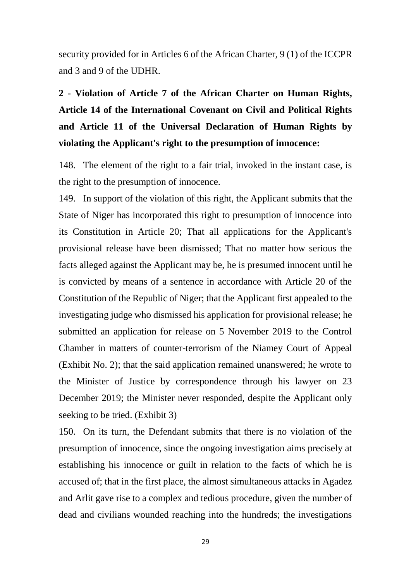security provided for in Articles 6 of the African Charter, 9 (1) of the ICCPR and 3 and 9 of the UDHR.

**2 - Violation of Article 7 of the African Charter on Human Rights, Article 14 of the International Covenant on Civil and Political Rights and Article 11 of the Universal Declaration of Human Rights by violating the Applicant's right to the presumption of innocence:**

148. The element of the right to a fair trial, invoked in the instant case, is the right to the presumption of innocence.

149. In support of the violation of this right, the Applicant submits that the State of Niger has incorporated this right to presumption of innocence into its Constitution in Article 20; That all applications for the Applicant's provisional release have been dismissed; That no matter how serious the facts alleged against the Applicant may be, he is presumed innocent until he is convicted by means of a sentence in accordance with Article 20 of the Constitution of the Republic of Niger; that the Applicant first appealed to the investigating judge who dismissed his application for provisional release; he submitted an application for release on 5 November 2019 to the Control Chamber in matters of counter-terrorism of the Niamey Court of Appeal (Exhibit No. 2); that the said application remained unanswered; he wrote to the Minister of Justice by correspondence through his lawyer on 23 December 2019; the Minister never responded, despite the Applicant only seeking to be tried. (Exhibit 3)

150. On its turn, the Defendant submits that there is no violation of the presumption of innocence, since the ongoing investigation aims precisely at establishing his innocence or guilt in relation to the facts of which he is accused of; that in the first place, the almost simultaneous attacks in Agadez and Arlit gave rise to a complex and tedious procedure, given the number of dead and civilians wounded reaching into the hundreds; the investigations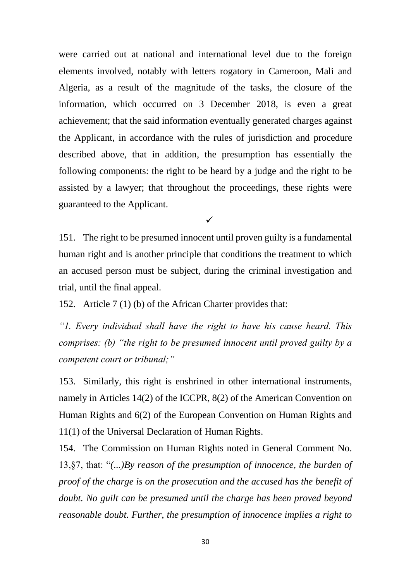were carried out at national and international level due to the foreign elements involved, notably with letters rogatory in Cameroon, Mali and Algeria, as a result of the magnitude of the tasks, the closure of the information, which occurred on 3 December 2018, is even a great achievement; that the said information eventually generated charges against the Applicant, in accordance with the rules of jurisdiction and procedure described above, that in addition, the presumption has essentially the following components: the right to be heard by a judge and the right to be assisted by a lawyer; that throughout the proceedings, these rights were guaranteed to the Applicant.

 $\checkmark$ 

151. The right to be presumed innocent until proven guilty is a fundamental human right and is another principle that conditions the treatment to which an accused person must be subject, during the criminal investigation and trial, until the final appeal.

152. Article 7 (1) (b) of the African Charter provides that:

*"1. Every individual shall have the right to have his cause heard. This comprises: (b) "the right to be presumed innocent until proved guilty by a competent court or tribunal;"*

153. Similarly, this right is enshrined in other international instruments, namely in Articles 14(2) of the ICCPR, 8(2) of the American Convention on Human Rights and 6(2) of the European Convention on Human Rights and 11(1) of the Universal Declaration of Human Rights.

154. The Commission on Human Rights noted in General Comment No. 13,§7, that: "*(...)By reason of the presumption of innocence, the burden of proof of the charge is on the prosecution and the accused has the benefit of doubt. No guilt can be presumed until the charge has been proved beyond reasonable doubt. Further, the presumption of innocence implies a right to*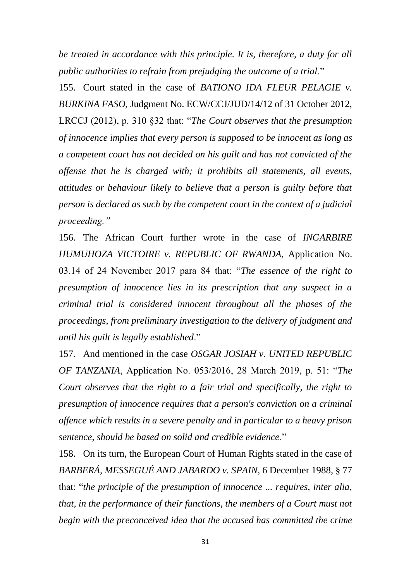*be treated in accordance with this principle. It is, therefore, a duty for all public authorities to refrain from prejudging the outcome of a trial*."

155. Court stated in the case of *BATIONO IDA FLEUR PELAGIE v. BURKINA FASO*, Judgment No. ECW/CCJ/JUD/14/12 of 31 October 2012, LRCCJ (2012), p. 310 §32 that: "*The Court observes that the presumption of innocence implies that every person is supposed to be innocent as long as a competent court has not decided on his guilt and has not convicted of the offense that he is charged with; it prohibits all statements, all events, attitudes or behaviour likely to believe that a person is guilty before that person is declared as such by the competent court in the context of a judicial proceeding."*

156. The African Court further wrote in the case of *INGARBIRE HUMUHOZA VICTOIRE v. REPUBLIC OF RWANDA*, Application No. 03.14 of 24 November 2017 para 84 that: "*The essence of the right to presumption of innocence lies in its prescription that any suspect in a criminal trial is considered innocent throughout all the phases of the proceedings, from preliminary investigation to the delivery of judgment and until his guilt is legally established*."

157. And mentioned in the case *OSGAR JOSIAH v. UNITED REPUBLIC OF TANZANIA*, Application No. 053/2016, 28 March 2019, p. 51: "*The Court observes that the right to a fair trial and specifically, the right to presumption of innocence requires that a person's conviction on a criminal offence which results in a severe penalty and in particular to a heavy prison sentence, should be based on solid and credible evidence*."

158. On its turn, the European Court of Human Rights stated in the case of *BARBERÁ, MESSEGUÉ AND JABARDO v. SPAIN*, 6 December 1988, § 77 that: "*the principle of the presumption of innocence ... requires, inter alia, that, in the performance of their functions, the members of a Court must not begin with the preconceived idea that the accused has committed the crime*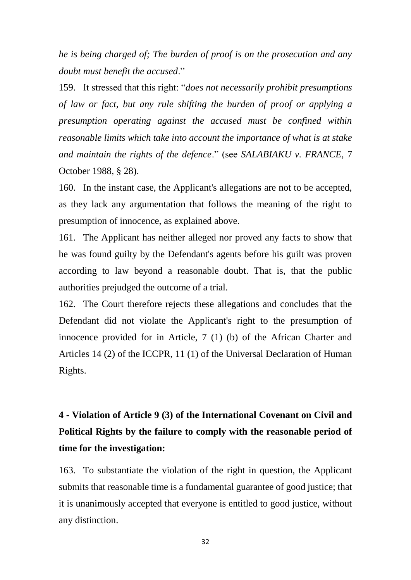*he is being charged of; The burden of proof is on the prosecution and any doubt must benefit the accused*."

159. It stressed that this right: "*does not necessarily prohibit presumptions of law or fact, but any rule shifting the burden of proof or applying a presumption operating against the accused must be confined within reasonable limits which take into account the importance of what is at stake and maintain the rights of the defence*." (see *SALABIAKU v. FRANCE*, 7 October 1988, § 28).

160. In the instant case, the Applicant's allegations are not to be accepted, as they lack any argumentation that follows the meaning of the right to presumption of innocence, as explained above.

161. The Applicant has neither alleged nor proved any facts to show that he was found guilty by the Defendant's agents before his guilt was proven according to law beyond a reasonable doubt. That is, that the public authorities prejudged the outcome of a trial.

162. The Court therefore rejects these allegations and concludes that the Defendant did not violate the Applicant's right to the presumption of innocence provided for in Article, 7 (1) (b) of the African Charter and Articles 14 (2) of the ICCPR, 11 (1) of the Universal Declaration of Human Rights.

# **4 - Violation of Article 9 (3) of the International Covenant on Civil and Political Rights by the failure to comply with the reasonable period of time for the investigation:**

163. To substantiate the violation of the right in question, the Applicant submits that reasonable time is a fundamental guarantee of good justice; that it is unanimously accepted that everyone is entitled to good justice, without any distinction.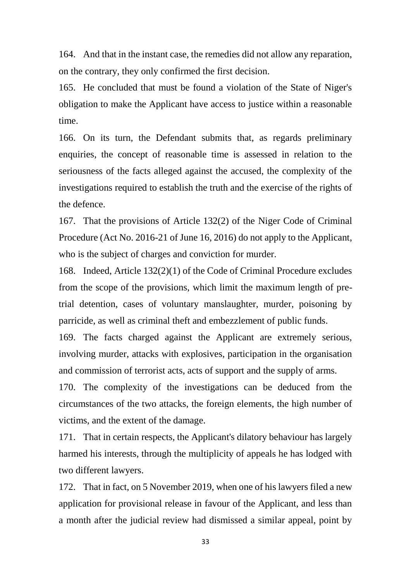164. And that in the instant case, the remedies did not allow any reparation, on the contrary, they only confirmed the first decision.

165. He concluded that must be found a violation of the State of Niger's obligation to make the Applicant have access to justice within a reasonable time.

166. On its turn, the Defendant submits that, as regards preliminary enquiries, the concept of reasonable time is assessed in relation to the seriousness of the facts alleged against the accused, the complexity of the investigations required to establish the truth and the exercise of the rights of the defence.

167. That the provisions of Article 132(2) of the Niger Code of Criminal Procedure (Act No. 2016-21 of June 16, 2016) do not apply to the Applicant, who is the subject of charges and conviction for murder.

168. Indeed, Article 132(2)(1) of the Code of Criminal Procedure excludes from the scope of the provisions, which limit the maximum length of pretrial detention, cases of voluntary manslaughter, murder, poisoning by parricide, as well as criminal theft and embezzlement of public funds.

169. The facts charged against the Applicant are extremely serious, involving murder, attacks with explosives, participation in the organisation and commission of terrorist acts, acts of support and the supply of arms.

170. The complexity of the investigations can be deduced from the circumstances of the two attacks, the foreign elements, the high number of victims, and the extent of the damage.

171. That in certain respects, the Applicant's dilatory behaviour has largely harmed his interests, through the multiplicity of appeals he has lodged with two different lawyers.

172. That in fact, on 5 November 2019, when one of his lawyers filed a new application for provisional release in favour of the Applicant, and less than a month after the judicial review had dismissed a similar appeal, point by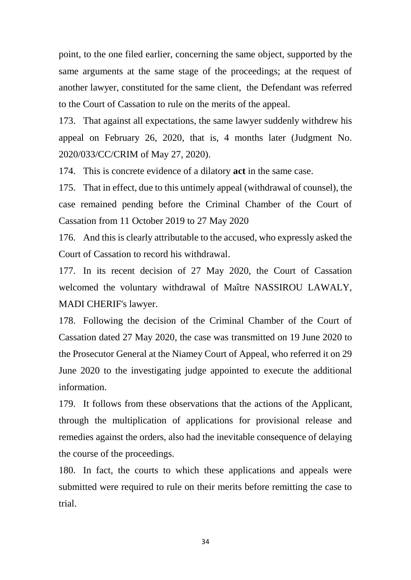point, to the one filed earlier, concerning the same object, supported by the same arguments at the same stage of the proceedings; at the request of another lawyer, constituted for the same client, the Defendant was referred to the Court of Cassation to rule on the merits of the appeal.

173. That against all expectations, the same lawyer suddenly withdrew his appeal on February 26, 2020, that is, 4 months later (Judgment No. 2020/033/CC/CRIM of May 27, 2020).

174. This is concrete evidence of a dilatory **act** in the same case.

175. That in effect, due to this untimely appeal (withdrawal of counsel), the case remained pending before the Criminal Chamber of the Court of Cassation from 11 October 2019 to 27 May 2020

176. And this is clearly attributable to the accused, who expressly asked the Court of Cassation to record his withdrawal.

177. In its recent decision of 27 May 2020, the Court of Cassation welcomed the voluntary withdrawal of Maître NASSIROU LAWALY, MADI CHERIF's lawyer.

178. Following the decision of the Criminal Chamber of the Court of Cassation dated 27 May 2020, the case was transmitted on 19 June 2020 to the Prosecutor General at the Niamey Court of Appeal, who referred it on 29 June 2020 to the investigating judge appointed to execute the additional information.

179. It follows from these observations that the actions of the Applicant, through the multiplication of applications for provisional release and remedies against the orders, also had the inevitable consequence of delaying the course of the proceedings.

180. In fact, the courts to which these applications and appeals were submitted were required to rule on their merits before remitting the case to trial.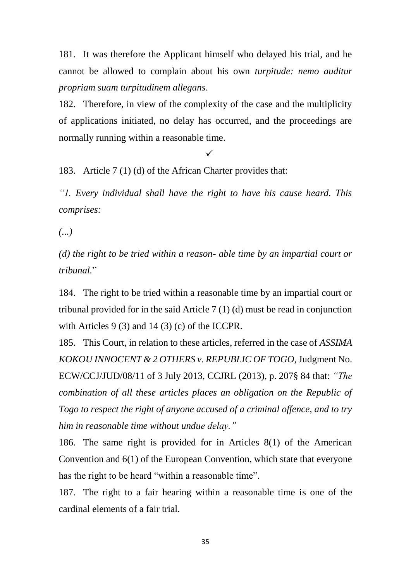181. It was therefore the Applicant himself who delayed his trial, and he cannot be allowed to complain about his own *turpitude: nemo auditur propriam suam turpitudinem allegans*.

182. Therefore, in view of the complexity of the case and the multiplicity of applications initiated, no delay has occurred, and the proceedings are normally running within a reasonable time.

 $\checkmark$ 

183. Article 7 (1) (d) of the African Charter provides that:

*"1. Every individual shall have the right to have his cause heard. This comprises:*

*(...)*

*(d) the right to be tried within a reason- able time by an impartial court or tribunal.*"

184. The right to be tried within a reasonable time by an impartial court or tribunal provided for in the said Article 7 (1) (d) must be read in conjunction with Articles 9 (3) and 14 (3) (c) of the ICCPR.

185. This Court, in relation to these articles, referred in the case of *ASSIMA KOKOU INNOCENT & 2 OTHERS v. REPUBLIC OF TOGO*, Judgment No. ECW/CCJ/JUD/08/11 of 3 July 2013, CCJRL (2013), p. 207§ 84 that: *"The combination of all these articles places an obligation on the Republic of Togo to respect the right of anyone accused of a criminal offence, and to try him in reasonable time without undue delay."*

186. The same right is provided for in Articles 8(1) of the American Convention and 6(1) of the European Convention, which state that everyone has the right to be heard "within a reasonable time".

187. The right to a fair hearing within a reasonable time is one of the cardinal elements of a fair trial.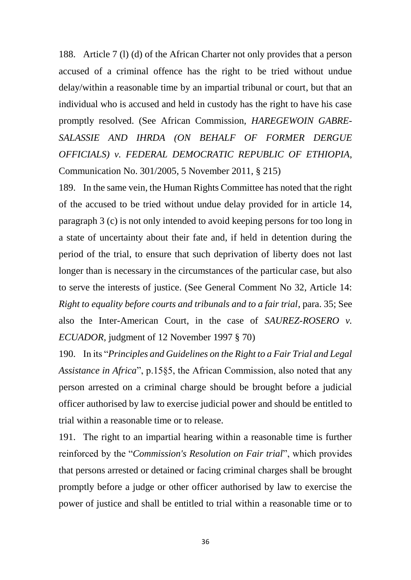188. Article 7 (l) (d) of the African Charter not only provides that a person accused of a criminal offence has the right to be tried without undue delay/within a reasonable time by an impartial tribunal or court, but that an individual who is accused and held in custody has the right to have his case promptly resolved. (See African Commission, *HAREGEWOIN GABRE-SALASSIE AND IHRDA (ON BEHALF OF FORMER DERGUE OFFICIALS) v. FEDERAL DEMOCRATIC REPUBLIC OF ETHIOPIA*, Communication No. 301/2005, 5 November 2011, § 215)

189. In the same vein, the Human Rights Committee has noted that the right of the accused to be tried without undue delay provided for in article 14, paragraph 3 (c) is not only intended to avoid keeping persons for too long in a state of uncertainty about their fate and, if held in detention during the period of the trial, to ensure that such deprivation of liberty does not last longer than is necessary in the circumstances of the particular case, but also to serve the interests of justice. (See General Comment No 32, Article 14: *Right to equality before courts and tribunals and to a fair trial*, para. 35; See also the Inter-American Court, in the case of *SAUREZ-ROSERO v. ECUADOR*, judgment of 12 November 1997 § 70)

190. In its "*Principles and Guidelines on the Right to a Fair Trial and Legal Assistance in Africa*", p.15§5, the African Commission, also noted that any person arrested on a criminal charge should be brought before a judicial officer authorised by law to exercise judicial power and should be entitled to trial within a reasonable time or to release.

191. The right to an impartial hearing within a reasonable time is further reinforced by the "*Commission's Resolution on Fair trial*", which provides that persons arrested or detained or facing criminal charges shall be brought promptly before a judge or other officer authorised by law to exercise the power of justice and shall be entitled to trial within a reasonable time or to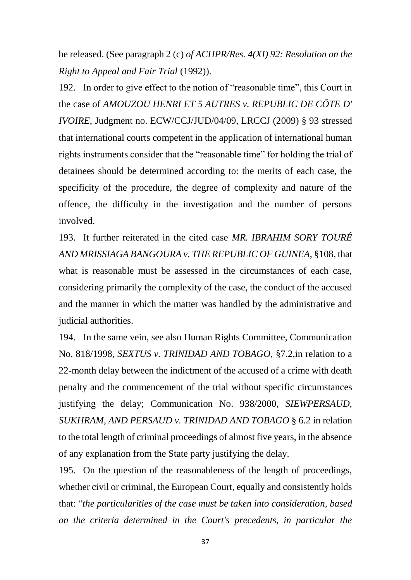be released. (See paragraph 2 (c) *of ACHPR/Res. 4(XI) 92: Resolution on the Right to Appeal and Fair Trial* (1992)).

192. In order to give effect to the notion of "reasonable time", this Court in the case of *AMOUZOU HENRI ET 5 AUTRES v. REPUBLIC DE CÔTE D' IVOIRE*, Judgment no. ECW/CCJ/JUD/04/09, LRCCJ (2009) § 93 stressed that international courts competent in the application of international human rights instruments consider that the "reasonable time" for holding the trial of detainees should be determined according to: the merits of each case, the specificity of the procedure, the degree of complexity and nature of the offence, the difficulty in the investigation and the number of persons involved.

193. It further reiterated in the cited case *MR. IBRAHIM SORY TOURÉ AND MRISSIAGA BANGOURA v. THE REPUBLIC OF GUINEA*, §108, that what is reasonable must be assessed in the circumstances of each case, considering primarily the complexity of the case, the conduct of the accused and the manner in which the matter was handled by the administrative and judicial authorities.

194. In the same vein, see also Human Rights Committee, Communication No. 818/1998, *SEXTUS v. TRINIDAD AND TOBAGO*, §7.2,in relation to a 22-month delay between the indictment of the accused of a crime with death penalty and the commencement of the trial without specific circumstances justifying the delay; Communication No. 938/2000, *SIEWPERSAUD, SUKHRAM, AND PERSAUD v. TRINIDAD AND TOBAGO* § 6.2 in relation to the total length of criminal proceedings of almost five years, in the absence of any explanation from the State party justifying the delay.

195. On the question of the reasonableness of the length of proceedings, whether civil or criminal, the European Court, equally and consistently holds that: "*the particularities of the case must be taken into consideration, based on the criteria determined in the Court's precedents, in particular the*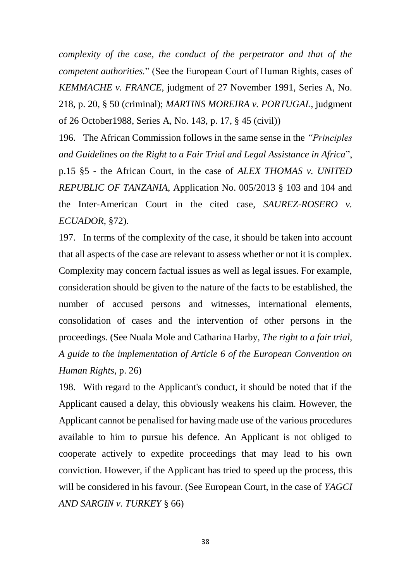*complexity of the case, the conduct of the perpetrator and that of the competent authorities.*" (See the European Court of Human Rights, cases of *KEMMACHE v. FRANCE*, judgment of 27 November 1991, Series A, No. 218, p. 20, § 50 (criminal); *MARTINS MOREIRA v. PORTUGAL*, judgment of 26 October1988, Series A, No. 143, p. 17, § 45 (civil))

196. The African Commission follows in the same sense in the *"Principles and Guidelines on the Right to a Fair Trial and Legal Assistance in Africa*", p.15 §5 - the African Court, in the case of *ALEX THOMAS v. UNITED REPUBLIC OF TANZANIA*, Application No. 005/2013 § 103 and 104 and the Inter-American Court in the cited case, *SAUREZ-ROSERO v. ECUADOR*, §72).

197. In terms of the complexity of the case, it should be taken into account that all aspects of the case are relevant to assess whether or not it is complex. Complexity may concern factual issues as well as legal issues. For example, consideration should be given to the nature of the facts to be established, the number of accused persons and witnesses, international elements, consolidation of cases and the intervention of other persons in the proceedings. (See Nuala Mole and Catharina Harby, *The right to a fair trial, A guide to the implementation of Article 6 of the European Convention on Human Rights,* p. 26)

198. With regard to the Applicant's conduct, it should be noted that if the Applicant caused a delay, this obviously weakens his claim. However, the Applicant cannot be penalised for having made use of the various procedures available to him to pursue his defence. An Applicant is not obliged to cooperate actively to expedite proceedings that may lead to his own conviction. However, if the Applicant has tried to speed up the process, this will be considered in his favour. (See European Court, in the case of *YAGCI AND SARGIN v. TURKEY* § 66)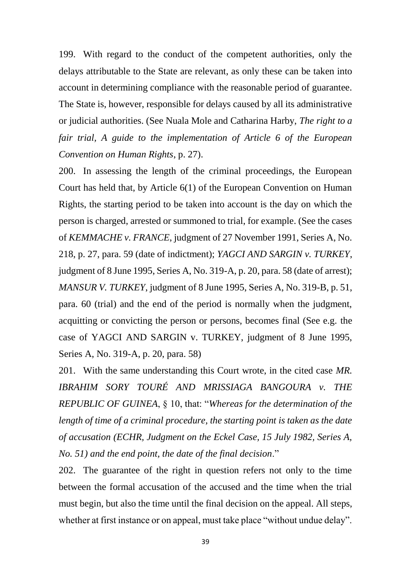199. With regard to the conduct of the competent authorities, only the delays attributable to the State are relevant, as only these can be taken into account in determining compliance with the reasonable period of guarantee. The State is, however, responsible for delays caused by all its administrative or judicial authorities. (See Nuala Mole and Catharina Harby, *The right to a fair trial, A guide to the implementation of Article 6 of the European Convention on Human Rights*, p. 27).

200. In assessing the length of the criminal proceedings, the European Court has held that, by Article 6(1) of the European Convention on Human Rights, the starting period to be taken into account is the day on which the person is charged, arrested or summoned to trial, for example. (See the cases of *KEMMACHE v. FRANCE*, judgment of 27 November 1991, Series A, No. 218, p. 27, para. 59 (date of indictment); *YAGCI AND SARGIN v. TURKEY*, judgment of 8 June 1995, Series A, No. 319-A, p. 20, para. 58 (date of arrest); *MANSUR V. TURKEY*, judgment of 8 June 1995, Series A, No. 319-B, p. 51, para. 60 (trial) and the end of the period is normally when the judgment, acquitting or convicting the person or persons, becomes final (See e.g. the case of YAGCI AND SARGIN v. TURKEY, judgment of 8 June 1995, Series A, No. 319-A, p. 20, para. 58)

201. With the same understanding this Court wrote, in the cited case *MR. IBRAHIM SORY TOURÉ AND MRISSIAGA BANGOURA v. THE REPUBLIC OF GUINEA*, § 10, that: "*Whereas for the determination of the length of time of a criminal procedure, the starting point is taken as the date of accusation (ECHR, Judgment on the Eckel Case, 15 July 1982, Series A, No. 51) and the end point, the date of the final decision*."

202. The guarantee of the right in question refers not only to the time between the formal accusation of the accused and the time when the trial must begin, but also the time until the final decision on the appeal. All steps, whether at first instance or on appeal, must take place "without undue delay".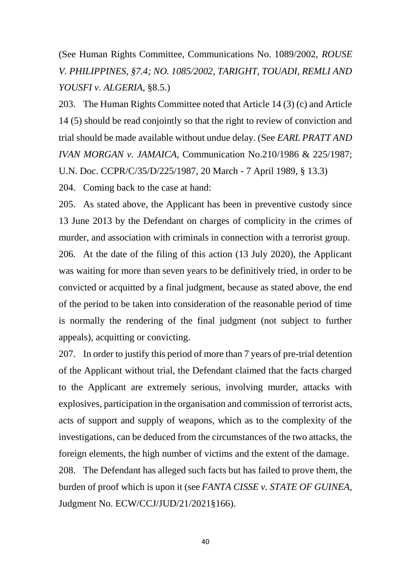(See Human Rights Committee, Communications No. 1089/2002, *ROUSE V. PHILIPPINES, §7.4; NO. 1085/2002, TARIGHT, TOUADI, REMLI AND YOUSFI v. ALGERIA*, §8.5.)

203. The Human Rights Committee noted that Article 14 (3) (c) and Article 14 (5) should be read conjointly so that the right to review of conviction and trial should be made available without undue delay. (See *EARL PRATT AND IVAN MORGAN v. JAMAICA*, Communication No.210/1986 & 225/1987; U.N. Doc. CCPR/C/35/D/225/1987, 20 March - 7 April 1989, § 13.3)

204. Coming back to the case at hand:

205. As stated above, the Applicant has been in preventive custody since 13 June 2013 by the Defendant on charges of complicity in the crimes of murder, and association with criminals in connection with a terrorist group. 206. At the date of the filing of this action (13 July 2020), the Applicant was waiting for more than seven years to be definitively tried, in order to be convicted or acquitted by a final judgment, because as stated above, the end of the period to be taken into consideration of the reasonable period of time is normally the rendering of the final judgment (not subject to further appeals), acquitting or convicting.

207. In order to justify this period of more than 7 years of pre-trial detention of the Applicant without trial, the Defendant claimed that the facts charged to the Applicant are extremely serious, involving murder, attacks with explosives, participation in the organisation and commission of terrorist acts, acts of support and supply of weapons, which as to the complexity of the investigations, can be deduced from the circumstances of the two attacks, the foreign elements, the high number of victims and the extent of the damage. 208. The Defendant has alleged such facts but has failed to prove them, the burden of proof which is upon it (see *FANTA CISSE v. STATE OF GUINEA*, Judgment No. ECW/CCJ/JUD/21/2021§166).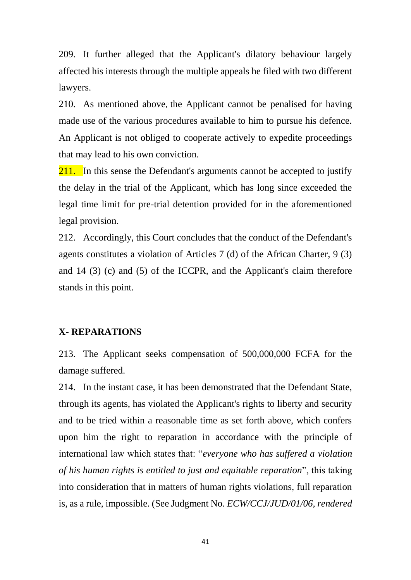209. It further alleged that the Applicant's dilatory behaviour largely affected his interests through the multiple appeals he filed with two different lawyers.

210. As mentioned above, the Applicant cannot be penalised for having made use of the various procedures available to him to pursue his defence. An Applicant is not obliged to cooperate actively to expedite proceedings that may lead to his own conviction.

211. In this sense the Defendant's arguments cannot be accepted to justify the delay in the trial of the Applicant, which has long since exceeded the legal time limit for pre-trial detention provided for in the aforementioned legal provision.

212. Accordingly, this Court concludes that the conduct of the Defendant's agents constitutes a violation of Articles 7 (d) of the African Charter, 9 (3) and 14 (3) (c) and (5) of the ICCPR, and the Applicant's claim therefore stands in this point.

#### **X- REPARATIONS**

213. The Applicant seeks compensation of 500,000,000 FCFA for the damage suffered.

214. In the instant case, it has been demonstrated that the Defendant State, through its agents, has violated the Applicant's rights to liberty and security and to be tried within a reasonable time as set forth above, which confers upon him the right to reparation in accordance with the principle of international law which states that: "*everyone who has suffered a violation of his human rights is entitled to just and equitable reparation*", this taking into consideration that in matters of human rights violations, full reparation is, as a rule, impossible. (See Judgment No. *ECW/CCJ/JUD/01/06, rendered*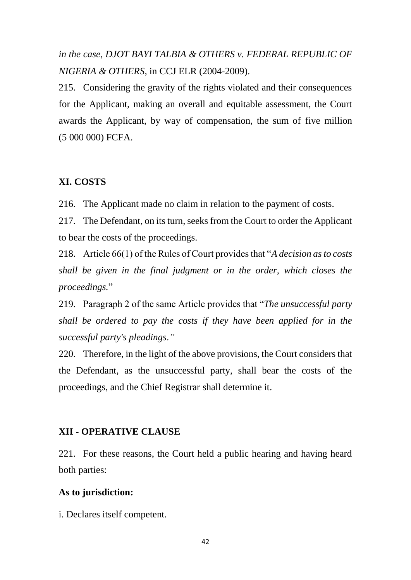*in the case, DJOT BAYI TALBIA & OTHERS v. FEDERAL REPUBLIC OF NIGERIA & OTHERS*, in CCJ ELR (2004-2009).

215. Considering the gravity of the rights violated and their consequences for the Applicant, making an overall and equitable assessment, the Court awards the Applicant, by way of compensation, the sum of five million (5 000 000) FCFA.

### **XI. COSTS**

216. The Applicant made no claim in relation to the payment of costs.

217. The Defendant, on its turn, seeks from the Court to order the Applicant to bear the costs of the proceedings.

218. Article 66(1) of the Rules of Court provides that "*A decision as to costs shall be given in the final judgment or in the order, which closes the proceedings.*"

219. Paragraph 2 of the same Article provides that "*The unsuccessful party shall be ordered to pay the costs if they have been applied for in the successful party's pleadings*.*"*

220. Therefore, in the light of the above provisions, the Court considers that the Defendant, as the unsuccessful party, shall bear the costs of the proceedings, and the Chief Registrar shall determine it.

### **XII - OPERATIVE CLAUSE**

221. For these reasons, the Court held a public hearing and having heard both parties:

#### **As to jurisdiction:**

i. Declares itself competent.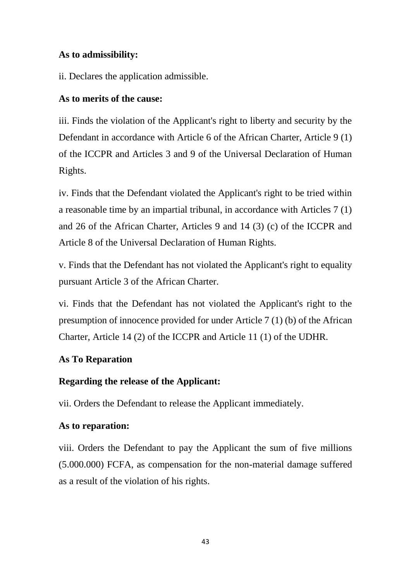### **As to admissibility:**

ii. Declares the application admissible.

### **As to merits of the cause:**

iii. Finds the violation of the Applicant's right to liberty and security by the Defendant in accordance with Article 6 of the African Charter, Article 9 (1) of the ICCPR and Articles 3 and 9 of the Universal Declaration of Human Rights.

iv. Finds that the Defendant violated the Applicant's right to be tried within a reasonable time by an impartial tribunal, in accordance with Articles 7 (1) and 26 of the African Charter, Articles 9 and 14 (3) (c) of the ICCPR and Article 8 of the Universal Declaration of Human Rights.

v. Finds that the Defendant has not violated the Applicant's right to equality pursuant Article 3 of the African Charter.

vi. Finds that the Defendant has not violated the Applicant's right to the presumption of innocence provided for under Article 7 (1) (b) of the African Charter, Article 14 (2) of the ICCPR and Article 11 (1) of the UDHR.

# **As To Reparation**

# **Regarding the release of the Applicant:**

vii. Orders the Defendant to release the Applicant immediately.

# **As to reparation:**

viii. Orders the Defendant to pay the Applicant the sum of five millions (5.000.000) FCFA, as compensation for the non-material damage suffered as a result of the violation of his rights.